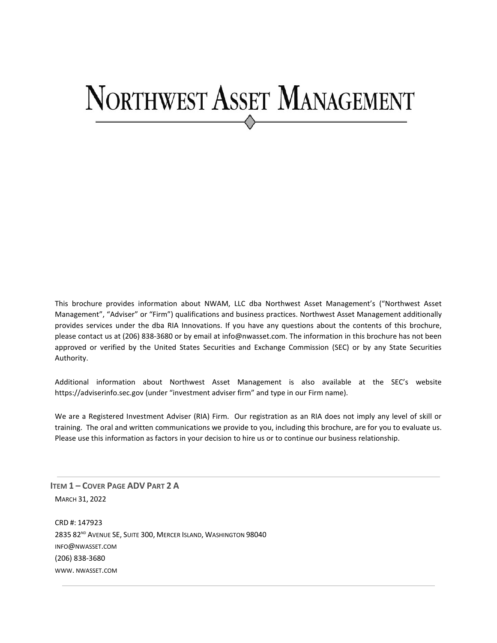# NORTHWEST ASSET MANAGEMENT

This brochure provides information about NWAM, LLC dba Northwest Asset Management's ("Northwest Asset Management", "Adviser" or "Firm") qualifications and business practices. Northwest Asset Management additionally provides services under the dba RIA Innovations. If you have any questions about the contents of this brochure, please contact us at (206) 838-3680 or by email at info@nwasset.com. The information in this brochure has not been approved or verified by the United States Securities and Exchange Commission (SEC) or by any State Securities Authority.

Additional information about Northwest Asset Management is also available at the SEC's website https://adviserinfo.sec.gov (under "investment adviser firm" and type in our Firm name).

We are a Registered Investment Adviser (RIA) Firm. Our registration as an RIA does not imply any level of skill or training. The oral and written communications we provide to you, including this brochure, are for you to evaluate us. Please use this information as factors in your decision to hire us or to continue our business relationship.

<span id="page-0-0"></span>**ITEM 1 – COVER PAGE ADV PART 2 A**  MARCH 31, 2022

CRD #: 147923 2835 82<sup>ND</sup> AVENUE SE, SUITE 300, MERCER ISLAND, WASHINGTON 98040 INFO@NWASSET.COM (206) 838-3680 WWW. NWASSET.COM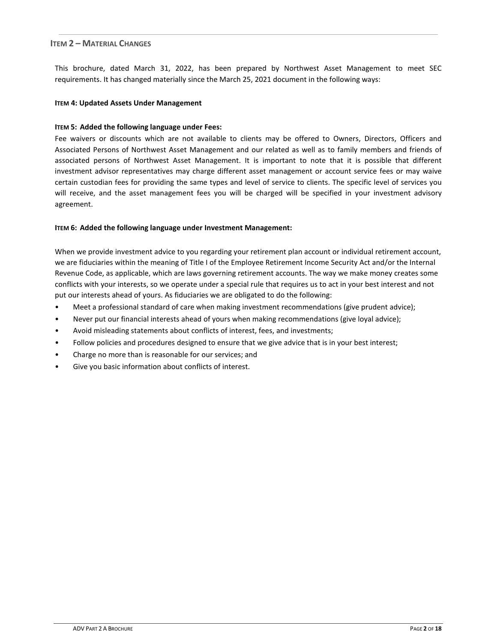## <span id="page-1-0"></span>**ITEM 2 – MATERIAL CHANGES**

This brochure, dated March 31, 2022, has been prepared by Northwest Asset Management to meet SEC requirements. It has changed materially since the March 25, 2021 document in the following ways:

#### **ITEM 4: Updated Assets Under Management**

## **ITEM 5: Added the following language under Fees:**

Fee waivers or discounts which are not available to clients may be offered to Owners, Directors, Officers and Associated Persons of Northwest Asset Management and our related as well as to family members and friends of associated persons of Northwest Asset Management. It is important to note that it is possible that different investment advisor representatives may charge different asset management or account service fees or may waive certain custodian fees for providing the same types and level of service to clients. The specific level of services you will receive, and the asset management fees you will be charged will be specified in your investment advisory agreement.

## **ITEM 6: Added the following language under Investment Management:**

When we provide investment advice to you regarding your retirement plan account or individual retirement account, we are fiduciaries within the meaning of Title I of the Employee Retirement Income Security Act and/or the Internal Revenue Code, as applicable, which are laws governing retirement accounts. The way we make money creates some conflicts with your interests, so we operate under a special rule that requires us to act in your best interest and not put our interests ahead of yours. As fiduciaries we are obligated to do the following:

- Meet a professional standard of care when making investment recommendations (give prudent advice);
- Never put our financial interests ahead of yours when making recommendations (give loyal advice);
- Avoid misleading statements about conflicts of interest, fees, and investments;
- Follow policies and procedures designed to ensure that we give advice that is in your best interest;
- Charge no more than is reasonable for our services; and
- Give you basic information about conflicts of interest.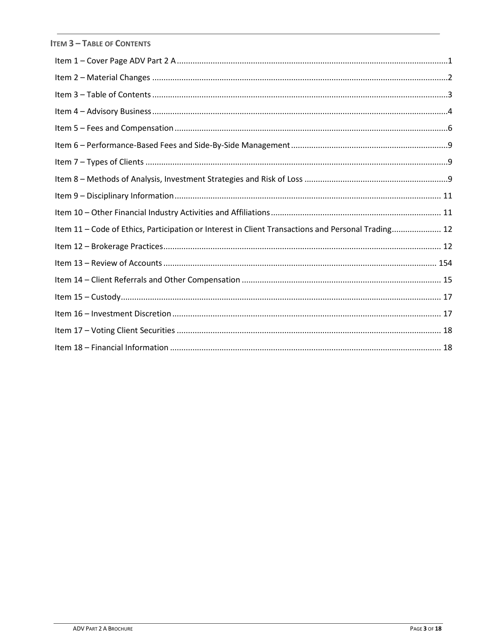<span id="page-2-0"></span>

| <b>ITEM 3 - TABLE OF CONTENTS</b>                                                                  |
|----------------------------------------------------------------------------------------------------|
|                                                                                                    |
|                                                                                                    |
|                                                                                                    |
|                                                                                                    |
|                                                                                                    |
|                                                                                                    |
|                                                                                                    |
|                                                                                                    |
|                                                                                                    |
|                                                                                                    |
| Item 11 – Code of Ethics, Participation or Interest in Client Transactions and Personal Trading 12 |
|                                                                                                    |
|                                                                                                    |
|                                                                                                    |
|                                                                                                    |
|                                                                                                    |
|                                                                                                    |
|                                                                                                    |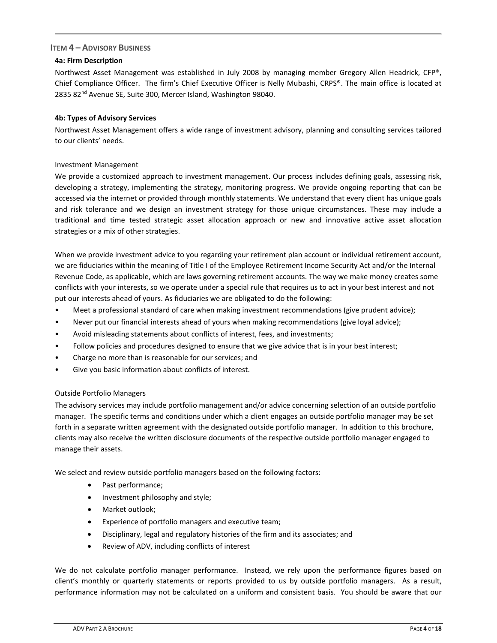# <span id="page-3-0"></span>**ITEM 4 – ADVISORY BUSINESS**

# **4a: Firm Description**

Northwest Asset Management was established in July 2008 by managing member Gregory Allen Headrick, CFP®, Chief Compliance Officer. The firm's Chief Executive Officer is Nelly Mubashi, CRPS®. The main office is located at 2835 82<sup>nd</sup> Avenue SE, Suite 300, Mercer Island, Washington 98040.

# **4b: Types of Advisory Services**

Northwest Asset Management offers a wide range of investment advisory, planning and consulting services tailored to our clients' needs.

# Investment Management

We provide a customized approach to investment management. Our process includes defining goals, assessing risk, developing a strategy, implementing the strategy, monitoring progress. We provide ongoing reporting that can be accessed via the internet or provided through monthly statements. We understand that every client has unique goals and risk tolerance and we design an investment strategy for those unique circumstances. These may include a traditional and time tested strategic asset allocation approach or new and innovative active asset allocation strategies or a mix of other strategies.

When we provide investment advice to you regarding your retirement plan account or individual retirement account, we are fiduciaries within the meaning of Title I of the Employee Retirement Income Security Act and/or the Internal Revenue Code, as applicable, which are laws governing retirement accounts. The way we make money creates some conflicts with your interests, so we operate under a special rule that requires us to act in your best interest and not put our interests ahead of yours. As fiduciaries we are obligated to do the following:

- Meet a professional standard of care when making investment recommendations (give prudent advice);
- Never put our financial interests ahead of yours when making recommendations (give loyal advice);
- Avoid misleading statements about conflicts of interest, fees, and investments;
- Follow policies and procedures designed to ensure that we give advice that is in your best interest;
- Charge no more than is reasonable for our services; and
- Give you basic information about conflicts of interest.

# Outside Portfolio Managers

The advisory services may include portfolio management and/or advice concerning selection of an outside portfolio manager. The specific terms and conditions under which a client engages an outside portfolio manager may be set forth in a separate written agreement with the designated outside portfolio manager. In addition to this brochure, clients may also receive the written disclosure documents of the respective outside portfolio manager engaged to manage their assets.

We select and review outside portfolio managers based on the following factors:

- Past performance;
- Investment philosophy and style;
- Market outlook;
- Experience of portfolio managers and executive team;
- Disciplinary, legal and regulatory histories of the firm and its associates; and
- Review of ADV, including conflicts of interest

We do not calculate portfolio manager performance. Instead, we rely upon the performance figures based on client's monthly or quarterly statements or reports provided to us by outside portfolio managers. As a result, performance information may not be calculated on a uniform and consistent basis. You should be aware that our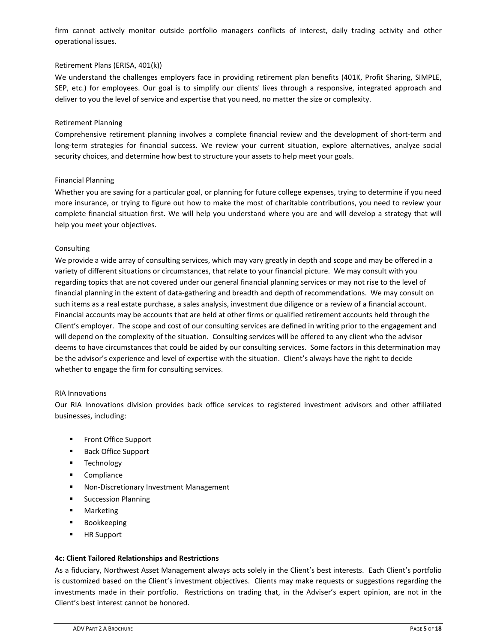firm cannot actively monitor outside portfolio managers conflicts of interest, daily trading activity and other operational issues.

# Retirement Plans (ERISA, 401(k))

We understand the challenges employers face in providing retirement plan benefits (401K, Profit Sharing, SIMPLE, SEP, etc.) for employees. Our goal is to simplify our clients' lives through a responsive, integrated approach and deliver to you the level of service and expertise that you need, no matter the size or complexity.

# Retirement Planning

Comprehensive retirement planning involves a complete financial review and the development of short-term and long-term strategies for financial success. We review your current situation, explore alternatives, analyze social security choices, and determine how best to structure your assets to help meet your goals.

# Financial Planning

Whether you are saving for a particular goal, or planning for future college expenses, trying to determine if you need more insurance, or trying to figure out how to make the most of charitable contributions, you need to review your complete financial situation first. We will help you understand where you are and will develop a strategy that will help you meet your objectives.

# Consulting

We provide a wide array of consulting services, which may vary greatly in depth and scope and may be offered in a variety of different situations or circumstances, that relate to your financial picture. We may consult with you regarding topics that are not covered under our general financial planning services or may not rise to the level of financial planning in the extent of data-gathering and breadth and depth of recommendations. We may consult on such items as a real estate purchase, a sales analysis, investment due diligence or a review of a financial account. Financial accounts may be accounts that are held at other firms or qualified retirement accounts held through the Client's employer. The scope and cost of our consulting services are defined in writing prior to the engagement and will depend on the complexity of the situation. Consulting services will be offered to any client who the advisor deems to have circumstances that could be aided by our consulting services. Some factors in this determination may be the advisor's experience and level of expertise with the situation. Client's always have the right to decide whether to engage the firm for consulting services.

# RIA Innovations

Our RIA Innovations division provides back office services to registered investment advisors and other affiliated businesses, including:

- **Front Office Support**
- Back Office Support
- Technology
- **Compliance**
- Non-Discretionary Investment Management
- **Succession Planning**
- Marketing
- **Bookkeeping**
- **HR Support**

# **4c: Client Tailored Relationships and Restrictions**

As a fiduciary, Northwest Asset Management always acts solely in the Client's best interests. Each Client's portfolio is customized based on the Client's investment objectives. Clients may make requests or suggestions regarding the investments made in their portfolio. Restrictions on trading that, in the Adviser's expert opinion, are not in the Client's best interest cannot be honored.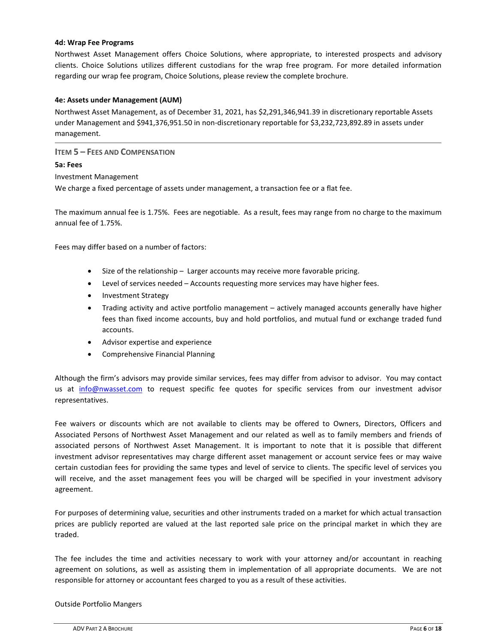#### **4d: Wrap Fee Programs**

Northwest Asset Management offers Choice Solutions, where appropriate, to interested prospects and advisory clients. Choice Solutions utilizes different custodians for the wrap free program. For more detailed information regarding our wrap fee program, Choice Solutions, please review the complete brochure.

## **4e: Assets under Management (AUM)**

Northwest Asset Management, as of December 31, 2021, has \$2,291,346,941.39 in discretionary reportable Assets under Management and \$941,376,951.50 in non-discretionary reportable for \$3,232,723,892.89 in assets under management.

## <span id="page-5-0"></span>**ITEM 5 – FEES AND COMPENSATION**

## **5a: Fees**

Investment Management

We charge a fixed percentage of assets under management, a transaction fee or a flat fee.

The maximum annual fee is 1.75%. Fees are negotiable. As a result, fees may range from no charge to the maximum annual fee of 1.75%.

Fees may differ based on a number of factors:

- Size of the relationship Larger accounts may receive more favorable pricing.
- Level of services needed Accounts requesting more services may have higher fees.
- Investment Strategy
- Trading activity and active portfolio management actively managed accounts generally have higher fees than fixed income accounts, buy and hold portfolios, and mutual fund or exchange traded fund accounts.
- Advisor expertise and experience
- Comprehensive Financial Planning

Although the firm's advisors may provide similar services, fees may differ from advisor to advisor. You may contact us at [info@nwasset.com](mailto:info@nwasset.com) to request specific fee quotes for specific services from our investment advisor representatives.

Fee waivers or discounts which are not available to clients may be offered to Owners, Directors, Officers and Associated Persons of Northwest Asset Management and our related as well as to family members and friends of associated persons of Northwest Asset Management. It is important to note that it is possible that different investment advisor representatives may charge different asset management or account service fees or may waive certain custodian fees for providing the same types and level of service to clients. The specific level of services you will receive, and the asset management fees you will be charged will be specified in your investment advisory agreement.

For purposes of determining value, securities and other instruments traded on a market for which actual transaction prices are publicly reported are valued at the last reported sale price on the principal market in which they are traded.

The fee includes the time and activities necessary to work with your attorney and/or accountant in reaching agreement on solutions, as well as assisting them in implementation of all appropriate documents. We are not responsible for attorney or accountant fees charged to you as a result of these activities.

Outside Portfolio Mangers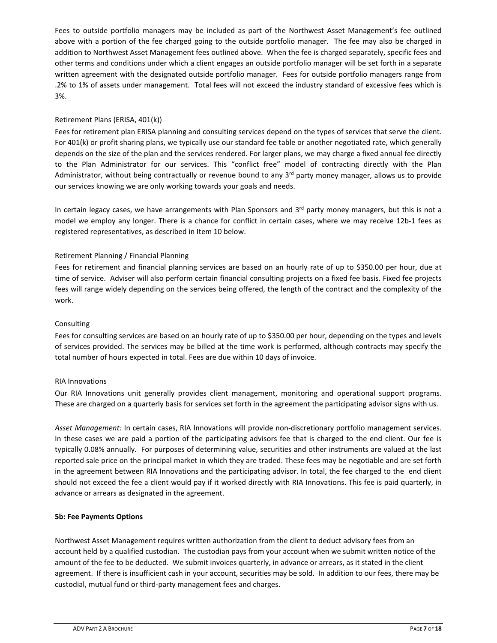Fees to outside portfolio managers may be included as part of the Northwest Asset Management's fee outlined above with a portion of the fee charged going to the outside portfolio manager. The fee may also be charged in addition to Northwest Asset Management fees outlined above. When the fee is charged separately, specific fees and other terms and conditions under which a client engages an outside portfolio manager will be set forth in a separate written agreement with the designated outside portfolio manager. Fees for outside portfolio managers range from .2% to 1% of assets under management. Total fees will not exceed the industry standard of excessive fees which is 3%.

# Retirement Plans (ERISA, 401(k))

Fees for retirement plan ERISA planning and consulting services depend on the types of services that serve the client. For 401(k) or profit sharing plans, we typically use our standard fee table or another negotiated rate, which generally depends on the size of the plan and the services rendered. For larger plans, we may charge a fixed annual fee directly to the Plan Administrator for our services. This "conflict free" model of contracting directly with the Plan Administrator, without being contractually or revenue bound to any  $3<sup>rd</sup>$  party money manager, allows us to provide our services knowing we are only working towards your goals and needs.

In certain legacy cases, we have arrangements with Plan Sponsors and 3<sup>rd</sup> party money managers, but this is not a model we employ any longer. There is a chance for conflict in certain cases, where we may receive 12b-1 fees as registered representatives, as described in Item 10 below.

# Retirement Planning / Financial Planning

Fees for retirement and financial planning services are based on an hourly rate of up to \$350.00 per hour, due at time of service. Adviser will also perform certain financial consulting projects on a fixed fee basis. Fixed fee projects fees will range widely depending on the services being offered, the length of the contract and the complexity of the work.

# Consulting

Fees for consulting services are based on an hourly rate of up to \$350.00 per hour, depending on the types and levels of services provided. The services may be billed at the time work is performed, although contracts may specify the total number of hours expected in total. Fees are due within 10 days of invoice.

# RIA Innovations

Our RIA Innovations unit generally provides client management, monitoring and operational support programs. These are charged on a quarterly basis for services set forth in the agreement the participating advisor signs with us.

*Asset Management:* In certain cases, RIA Innovations will provide non-discretionary portfolio management services. In these cases we are paid a portion of the participating advisors fee that is charged to the end client. Our fee is typically 0.08% annually. For purposes of determining value, securities and other instruments are valued at the last reported sale price on the principal market in which they are traded. These fees may be negotiable and are set forth in the agreement between RIA Innovations and the participating advisor. In total, the fee charged to the end client should not exceed the fee a client would pay if it worked directly with RIA Innovations. This fee is paid quarterly, in advance or arrears as designated in the agreement.

# **5b: Fee Payments Options**

Northwest Asset Management requires written authorization from the client to deduct advisory fees from an account held by a qualified custodian. The custodian pays from your account when we submit written notice of the amount of the fee to be deducted. We submit invoices quarterly, in advance or arrears, as it stated in the client agreement. If there is insufficient cash in your account, securities may be sold. In addition to our fees, there may be custodial, mutual fund or third-party management fees and charges.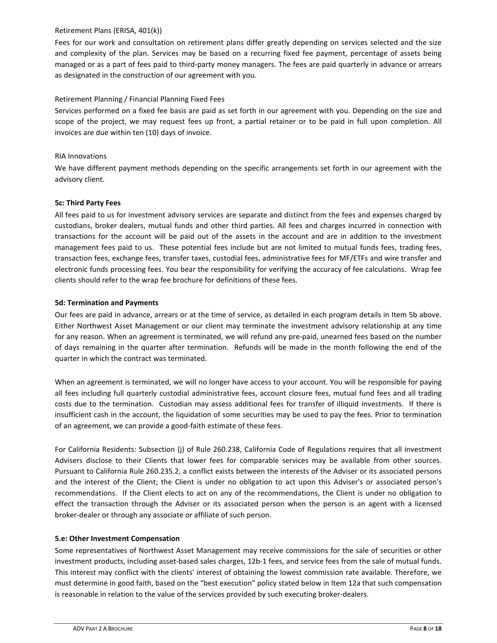# Retirement Plans (ERISA, 401(k))

Fees for our work and consultation on retirement plans differ greatly depending on services selected and the size and complexity of the plan. Services may be based on a recurring fixed fee payment, percentage of assets being managed or as a part of fees paid to third-party money managers. The fees are paid quarterly in advance or arrears as designated in the construction of our agreement with you.

# Retirement Planning / Financial Planning Fixed Fees

Services performed on a fixed fee basis are paid as set forth in our agreement with you. Depending on the size and scope of the project, we may request fees up front, a partial retainer or to be paid in full upon completion. All invoices are due within ten (10) days of invoice.

# RIA Innovations

We have different payment methods depending on the specific arrangements set forth in our agreement with the advisory client.

# **5c: Third Party Fees**

All fees paid to us for investment advisory services are separate and distinct from the fees and expenses charged by custodians, broker dealers, mutual funds and other third parties. All fees and charges incurred in connection with transactions for the account will be paid out of the assets in the account and are in addition to the investment management fees paid to us. These potential fees include but are not limited to mutual funds fees, trading fees, transaction fees, exchange fees, transfer taxes, custodial fees, administrative fees for MF/ETFs and wire transfer and electronic funds processing fees. You bear the responsibility for verifying the accuracy of fee calculations. Wrap fee clients should refer to the wrap fee brochure for definitions of these fees.

# **5d: Termination and Payments**

Our fees are paid in advance, arrears or at the time of service, as detailed in each program details in Item 5b above. Either Northwest Asset Management or our client may terminate the investment advisory relationship at any time for any reason. When an agreement is terminated, we will refund any pre-paid, unearned fees based on the number of days remaining in the quarter after termination. Refunds will be made in the month following the end of the quarter in which the contract was terminated.

When an agreement is terminated, we will no longer have access to your account. You will be responsible for paying all fees including full quarterly custodial administrative fees, account closure fees, mutual fund fees and all trading costs due to the termination. Custodian may assess additional fees for transfer of illiquid investments. If there is insufficient cash in the account, the liquidation of some securities may be used to pay the fees. Prior to termination of an agreement, we can provide a good-faith estimate of these fees.

For California Residents: Subsection (j) of Rule 260.238, California Code of Regulations requires that all investment Advisers disclose to their Clients that lower fees for comparable services may be available from other sources. Pursuant to California Rule 260.235.2, a conflict exists between the interests of the Adviser or its associated persons and the interest of the Client; the Client is under no obligation to act upon this Adviser's or associated person's recommendations. If the Client elects to act on any of the recommendations, the Client is under no obligation to effect the transaction through the Adviser or its associated person when the person is an agent with a licensed broker-dealer or through any associate or affiliate of such person.

# **5.e: Other Investment Compensation**

Some representatives of Northwest Asset Management may receive commissions for the sale of securities or other investment products, including asset-based sales charges, 12b-1 fees, and service fees from the sale of mutual funds. This interest may conflict with the clients' interest of obtaining the lowest commission rate available. Therefore, we must determine in good faith, based on the "best execution" policy stated below in Item 12a that such compensation is reasonable in relation to the value of the services provided by such executing broker-dealers.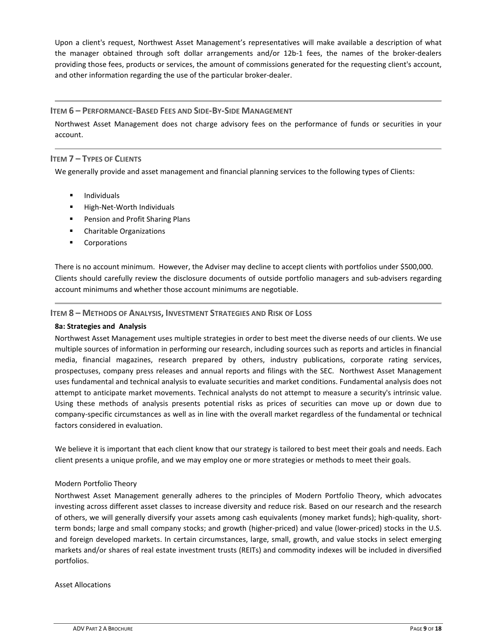Upon a client's request, Northwest Asset Management's representatives will make available a description of what the manager obtained through soft dollar arrangements and/or 12b-1 fees, the names of the broker-dealers providing those fees, products or services, the amount of commissions generated for the requesting client's account, and other information regarding the use of the particular broker-dealer.

## **ITEM 6 – PERFORMANCE-BASED FEES AND SIDE-BY-SIDE MANAGEMENT**

Northwest Asset Management does not charge advisory fees on the performance of funds or securities in your account.

## **ITEM 7 – TYPES OF CLIENTS**

We generally provide and asset management and financial planning services to the following types of Clients:

- <span id="page-8-1"></span><span id="page-8-0"></span>**Individuals**
- High-Net-Worth Individuals
- Pension and Profit Sharing Plans
- **EXEC** Charitable Organizations
- <span id="page-8-2"></span>Corporations

There is no account minimum. However, the Adviser may decline to accept clients with portfolios under \$500,000. Clients should carefully review the disclosure documents of outside portfolio managers and sub-advisers regarding account minimums and whether those account minimums are negotiable.

## **ITEM 8 – METHODS OF ANALYSIS, INVESTMENT STRATEGIES AND RISK OF LOSS**

#### **8a: Strategies and Analysis**

Northwest Asset Management uses multiple strategies in order to best meet the diverse needs of our clients. We use multiple sources of information in performing our research, including sources such as reports and articles in financial media, financial magazines, research prepared by others, industry publications, corporate rating services, prospectuses, company press releases and annual reports and filings with the SEC. Northwest Asset Management uses fundamental and technical analysis to evaluate securities and market conditions. Fundamental analysis does not attempt to anticipate market movements. Technical analysts do not attempt to measure a security's intrinsic value. Using these methods of analysis presents potential risks as prices of securities can move up or down due to company-specific circumstances as well as in line with the overall market regardless of the fundamental or technical factors considered in evaluation.

We believe it is important that each client know that our strategy is tailored to best meet their goals and needs. Each client presents a unique profile, and we may employ one or more strategies or methods to meet their goals.

#### Modern Portfolio Theory

Northwest Asset Management generally adheres to the principles of Modern Portfolio Theory, which advocates investing across different asset classes to increase diversity and reduce risk. Based on our research and the research of others, we will generally diversify your assets among cash equivalents (money market funds); high-quality, shortterm bonds; large and small company stocks; and growth (higher-priced) and value (lower-priced) stocks in the U.S. and foreign developed markets. In certain circumstances, large, small, growth, and value stocks in select emerging markets and/or shares of real estate investment trusts (REITs) and commodity indexes will be included in diversified portfolios.

#### Asset Allocations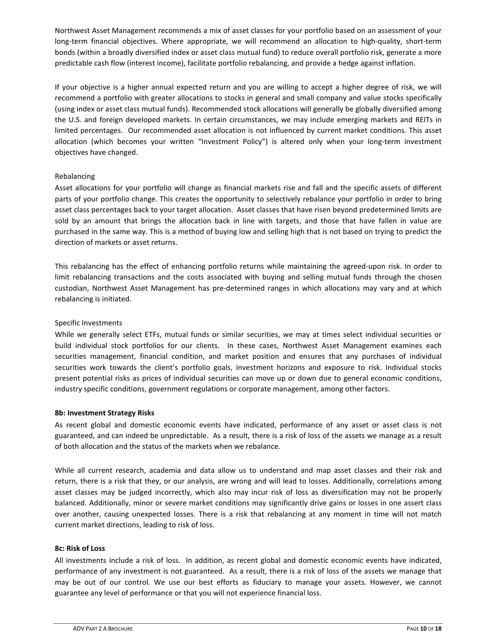Northwest Asset Management recommends a mix of asset classes for your portfolio based on an assessment of your long-term financial objectives. Where appropriate, we will recommend an allocation to high-quality, short-term bonds (within a broadly diversified index or asset class mutual fund) to reduce overall portfolio risk, generate a more predictable cash flow (interest income), facilitate portfolio rebalancing, and provide a hedge against inflation.

If your objective is a higher annual expected return and you are willing to accept a higher degree of risk, we will recommend a portfolio with greater allocations to stocks in general and small company and value stocks specifically (using index or asset class mutual funds). Recommended stock allocations will generally be globally diversified among the U.S. and foreign developed markets. In certain circumstances, we may include emerging markets and REITs in limited percentages. Our recommended asset allocation is not influenced by current market conditions. This asset allocation (which becomes your written "Investment Policy") is altered only when your long-term investment objectives have changed.

# Rebalancing

Asset allocations for your portfolio will change as financial markets rise and fall and the specific assets of different parts of your portfolio change. This creates the opportunity to selectively rebalance your portfolio in order to bring asset class percentages back to your target allocation. Asset classes that have risen beyond predetermined limits are sold by an amount that brings the allocation back in line with targets, and those that have fallen in value are purchased in the same way. This is a method of buying low and selling high that is not based on trying to predict the direction of markets or asset returns.

This rebalancing has the effect of enhancing portfolio returns while maintaining the agreed-upon risk. In order to limit rebalancing transactions and the costs associated with buying and selling mutual funds through the chosen custodian, Northwest Asset Management has pre-determined ranges in which allocations may vary and at which rebalancing is initiated.

# Specific Investments

While we generally select ETFs, mutual funds or similar securities, we may at times select individual securities or build individual stock portfolios for our clients. In these cases, Northwest Asset Management examines each securities management, financial condition, and market position and ensures that any purchases of individual securities work towards the client's portfolio goals, investment horizons and exposure to risk. Individual stocks present potential risks as prices of individual securities can move up or down due to general economic conditions, industry specific conditions, government regulations or corporate management, among other factors.

# **8b: Investment Strategy Risks**

As recent global and domestic economic events have indicated, performance of any asset or asset class is not guaranteed, and can indeed be unpredictable. As a result, there is a risk of loss of the assets we manage as a result of both allocation and the status of the markets when we rebalance.

While all current research, academia and data allow us to understand and map asset classes and their risk and return, there is a risk that they, or our analysis, are wrong and will lead to losses. Additionally, correlations among asset classes may be judged incorrectly, which also may incur risk of loss as diversification may not be properly balanced. Additionally, minor or severe market conditions may significantly drive gains or losses in one assert class over another, causing unexpected losses. There is a risk that rebalancing at any moment in time will not match current market directions, leading to risk of loss.

# **8c: Risk of Loss**

All investments include a risk of loss. In addition, as recent global and domestic economic events have indicated, performance of any investment is not guaranteed. As a result, there is a risk of loss of the assets we manage that may be out of our control. We use our best efforts as fiduciary to manage your assets. However, we cannot guarantee any level of performance or that you will not experience financial loss.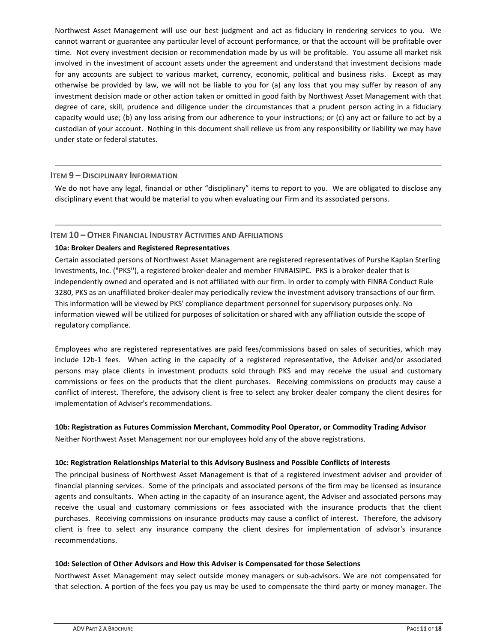Northwest Asset Management will use our best judgment and act as fiduciary in rendering services to you. We cannot warrant or guarantee any particular level of account performance, or that the account will be profitable over time. Not every investment decision or recommendation made by us will be profitable. You assume all market risk involved in the investment of account assets under the agreement and understand that investment decisions made for any accounts are subject to various market, currency, economic, political and business risks. Except as may otherwise be provided by law, we will not be liable to you for (a) any loss that you may suffer by reason of any investment decision made or other action taken or omitted in good faith by Northwest Asset Management with that degree of care, skill, prudence and diligence under the circumstances that a prudent person acting in a fiduciary capacity would use; (b) any loss arising from our adherence to your instructions; or (c) any act or failure to act by a custodian of your account. Nothing in this document shall relieve us from any responsibility or liability we may have under state or federal statutes.

#### **ITEM 9 – DISCIPLINARY INFORMATION**

<span id="page-10-0"></span>We do not have any legal, financial or other "disciplinary" items to report to you. We are obligated to disclose any disciplinary event that would be material to you when evaluating our Firm and its associated persons.

# **ITEM 10 – OTHER FINANCIAL INDUSTRY ACTIVITIES AND AFFILIATIONS**

## <span id="page-10-1"></span>**10a: Broker Dealers and Registered Representatives**

Certain associated persons of Northwest Asset Management are registered representatives of Purshe Kaplan Sterling Investments, Inc. ("PKS''), a registered broker-dealer and member FINRAISIPC. PKS is a broker-dealer that is independently owned and operated and is not affiliated with our firm. In order to comply with FINRA Conduct Rule 3280, PKS as an unaffiliated broker-dealer may periodically review the investment advisory transactions of our firm. This information will be viewed by PKS' compliance department personnel for supervisory purposes only. No information viewed will be utilized for purposes of solicitation or shared with any affiliation outside the scope of regulatory compliance.

Employees who are registered representatives are paid fees/commissions based on sales of securities, which may include 12b-1 fees. When acting in the capacity of a registered representative, the Adviser and/or associated persons may place clients in investment products sold through PKS and may receive the usual and customary commissions or fees on the products that the client purchases. Receiving commissions on products may cause a conflict of interest. Therefore, the advisory client is free to select any broker dealer company the client desires for implementation of Adviser's recommendations.

# **10b: Registration as Futures Commission Merchant, Commodity Pool Operator, or Commodity Trading Advisor**

Neither Northwest Asset Management nor our employees hold any of the above registrations.

#### **10c: Registration Relationships Material to this Advisory Business and Possible Conflicts of Interests**

The principal business of Northwest Asset Management is that of a registered investment adviser and provider of financial planning services. Some of the principals and associated persons of the firm may be licensed as insurance agents and consultants. When acting in the capacity of an insurance agent, the Adviser and associated persons may receive the usual and customary commissions or fees associated with the insurance products that the client purchases. Receiving commissions on insurance products may cause a conflict of interest. Therefore, the advisory client is free to select any insurance company the client desires for implementation of advisor's insurance recommendations.

#### **10d: Selection of Other Advisors and How this Adviser is Compensated for those Selections**

Northwest Asset Management may select outside money managers or sub-advisors. We are not compensated for that selection. A portion of the fees you pay us may be used to compensate the third party or money manager. The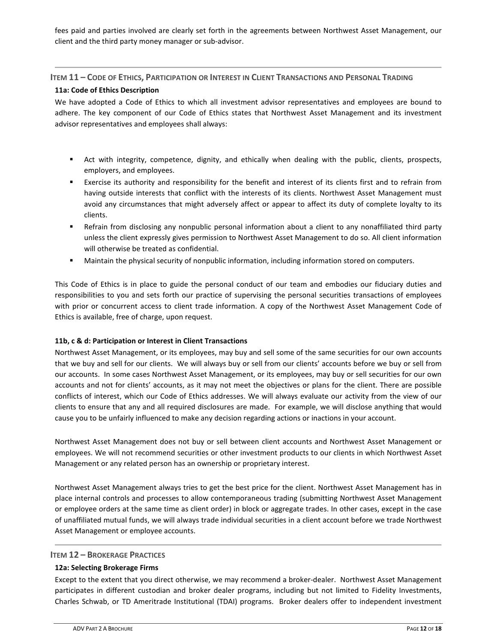fees paid and parties involved are clearly set forth in the agreements between Northwest Asset Management, our client and the third party money manager or sub-advisor.

**ITEM 11 – CODE OF ETHICS, PARTICIPATION OR INTEREST IN CLIENT TRANSACTIONS AND PERSONAL TRADING**

# **11a: Code of Ethics Description**

We have adopted a Code of Ethics to which all investment advisor representatives and employees are bound to adhere. The key component of our Code of Ethics states that Northwest Asset Management and its investment advisor representatives and employees shall always:

- <span id="page-11-0"></span> Act with integrity, competence, dignity, and ethically when dealing with the public, clients, prospects, employers, and employees.
- Exercise its authority and responsibility for the benefit and interest of its clients first and to refrain from having outside interests that conflict with the interests of its clients. Northwest Asset Management must avoid any circumstances that might adversely affect or appear to affect its duty of complete loyalty to its clients.
- **EXECT ADDET FROM EXECT ADDET** Refrain from disclosing any nonaffiliated third party unless the client expressly gives permission to Northwest Asset Management to do so. All client information will otherwise be treated as confidential.
- Maintain the physical security of nonpublic information, including information stored on computers.

This Code of Ethics is in place to guide the personal conduct of our team and embodies our fiduciary duties and responsibilities to you and sets forth our practice of supervising the personal securities transactions of employees with prior or concurrent access to client trade information. A copy of the Northwest Asset Management Code of Ethics is available, free of charge, upon request.

# **11b, c & d: Participation or Interest in Client Transactions**

Northwest Asset Management, or its employees, may buy and sell some of the same securities for our own accounts that we buy and sell for our clients. We will always buy or sell from our clients' accounts before we buy or sell from our accounts. In some cases Northwest Asset Management, or its employees, may buy or sell securities for our own accounts and not for clients' accounts, as it may not meet the objectives or plans for the client. There are possible conflicts of interest, which our Code of Ethics addresses. We will always evaluate our activity from the view of our clients to ensure that any and all required disclosures are made. For example, we will disclose anything that would cause you to be unfairly influenced to make any decision regarding actions or inactions in your account.

Northwest Asset Management does not buy or sell between client accounts and Northwest Asset Management or employees. We will not recommend securities or other investment products to our clients in which Northwest Asset Management or any related person has an ownership or proprietary interest.

Northwest Asset Management always tries to get the best price for the client. Northwest Asset Management has in place internal controls and processes to allow contemporaneous trading (submitting Northwest Asset Management or employee orders at the same time as client order) in block or aggregate trades. In other cases, except in the case of unaffiliated mutual funds, we will always trade individual securities in a client account before we trade Northwest Asset Management or employee accounts.

# **ITEM 12 – BROKERAGE PRACTICES**

# <span id="page-11-1"></span>**12a: Selecting Brokerage Firms**

Except to the extent that you direct otherwise, we may recommend a broker-dealer. Northwest Asset Management participates in different custodian and broker dealer programs, including but not limited to Fidelity Investments, Charles Schwab, or TD Ameritrade Institutional (TDAI) programs. Broker dealers offer to independent investment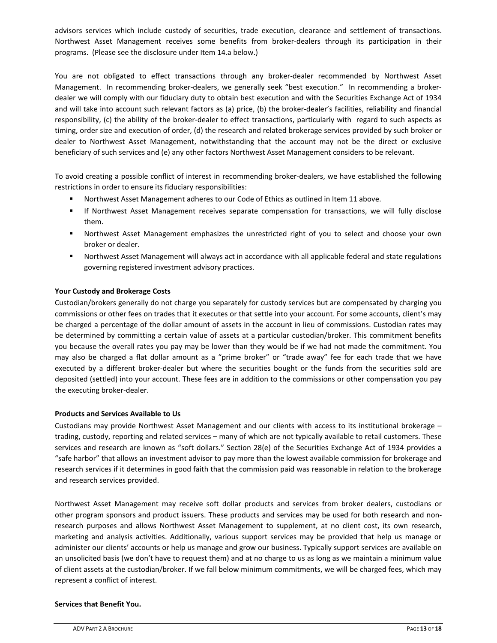advisors services which include custody of securities, trade execution, clearance and settlement of transactions. Northwest Asset Management receives some benefits from broker-dealers through its participation in their programs. (Please see the disclosure under Item 14.a below.)

You are not obligated to effect transactions through any broker-dealer recommended by Northwest Asset Management. In recommending broker-dealers, we generally seek "best execution." In recommending a brokerdealer we will comply with our fiduciary duty to obtain best execution and with the Securities Exchange Act of 1934 and will take into account such relevant factors as (a) price, (b) the broker-dealer's facilities, reliability and financial responsibility, (c) the ability of the broker-dealer to effect transactions, particularly with regard to such aspects as timing, order size and execution of order, (d) the research and related brokerage services provided by such broker or dealer to Northwest Asset Management, notwithstanding that the account may not be the direct or exclusive beneficiary of such services and (e) any other factors Northwest Asset Management considers to be relevant.

To avoid creating a possible conflict of interest in recommending broker-dealers, we have established the following restrictions in order to ensure its fiduciary responsibilities:

- Northwest Asset Management adheres to our Code of Ethics as outlined in Item 11 above.
- If Northwest Asset Management receives separate compensation for transactions, we will fully disclose them.
- Northwest Asset Management emphasizes the unrestricted right of you to select and choose your own broker or dealer.
- **Northwest Asset Management will always act in accordance with all applicable federal and state regulations** governing registered investment advisory practices.

# **Your Custody and Brokerage Costs**

Custodian/brokers generally do not charge you separately for custody services but are compensated by charging you commissions or other fees on trades that it executes or that settle into your account. For some accounts, client's may be charged a percentage of the dollar amount of assets in the account in lieu of commissions. Custodian rates may be determined by committing a certain value of assets at a particular custodian/broker. This commitment benefits you because the overall rates you pay may be lower than they would be if we had not made the commitment. You may also be charged a flat dollar amount as a "prime broker" or "trade away" fee for each trade that we have executed by a different broker-dealer but where the securities bought or the funds from the securities sold are deposited (settled) into your account. These fees are in addition to the commissions or other compensation you pay the executing broker-dealer.

# **Products and Services Available to Us**

Custodians may provide Northwest Asset Management and our clients with access to its institutional brokerage – trading, custody, reporting and related services – many of which are not typically available to retail customers. These services and research are known as "soft dollars." Section 28(e) of the Securities Exchange Act of 1934 provides a "safe harbor" that allows an investment advisor to pay more than the lowest available commission for brokerage and research services if it determines in good faith that the commission paid was reasonable in relation to the brokerage and research services provided.

Northwest Asset Management may receive soft dollar products and services from broker dealers, custodians or other program sponsors and product issuers. These products and services may be used for both research and nonresearch purposes and allows Northwest Asset Management to supplement, at no client cost, its own research, marketing and analysis activities. Additionally, various support services may be provided that help us manage or administer our clients' accounts or help us manage and grow our business. Typically support services are available on an unsolicited basis (we don't have to request them) and at no charge to us as long as we maintain a minimum value of client assets at the custodian/broker. If we fall below minimum commitments, we will be charged fees, which may represent a conflict of interest.

#### **Services that Benefit You.**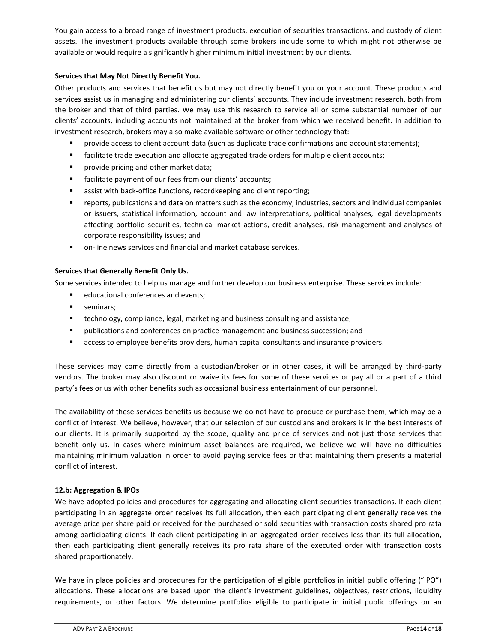You gain access to a broad range of investment products, execution of securities transactions, and custody of client assets. The investment products available through some brokers include some to which might not otherwise be available or would require a significantly higher minimum initial investment by our clients.

# **Services that May Not Directly Benefit You.**

Other products and services that benefit us but may not directly benefit you or your account. These products and services assist us in managing and administering our clients' accounts. They include investment research, both from the broker and that of third parties. We may use this research to service all or some substantial number of our clients' accounts, including accounts not maintained at the broker from which we received benefit. In addition to investment research, brokers may also make available software or other technology that:

- **PED 10** provide access to client account data (such as duplicate trade confirmations and account statements);
- **facilitate trade execution and allocate aggregated trade orders for multiple client accounts;**
- **Part of pricing and other market data;**
- facilitate payment of our fees from our clients' accounts;
- assist with back-office functions, recordkeeping and client reporting;
- reports, publications and data on matters such as the economy, industries, sectors and individual companies or issuers, statistical information, account and law interpretations, political analyses, legal developments affecting portfolio securities, technical market actions, credit analyses, risk management and analyses of corporate responsibility issues; and
- on-line news services and financial and market database services.

# **Services that Generally Benefit Only Us.**

Some services intended to help us manage and further develop our business enterprise. These services include:

- **educational conferences and events;**
- **seminars**;
- technology, compliance, legal, marketing and business consulting and assistance;
- publications and conferences on practice management and business succession; and
- **EXEC** access to employee benefits providers, human capital consultants and insurance providers.

These services may come directly from a custodian/broker or in other cases, it will be arranged by third-party vendors. The broker may also discount or waive its fees for some of these services or pay all or a part of a third party's fees or us with other benefits such as occasional business entertainment of our personnel.

The availability of these services benefits us because we do not have to produce or purchase them, which may be a conflict of interest. We believe, however, that our selection of our custodians and brokers is in the best interests of our clients. It is primarily supported by the scope, quality and price of services and not just those services that benefit only us. In cases where minimum asset balances are required, we believe we will have no difficulties maintaining minimum valuation in order to avoid paying service fees or that maintaining them presents a material conflict of interest.

# **12.b: Aggregation & IPOs**

We have adopted policies and procedures for aggregating and allocating client securities transactions. If each client participating in an aggregate order receives its full allocation, then each participating client generally receives the average price per share paid or received for the purchased or sold securities with transaction costs shared pro rata among participating clients. If each client participating in an aggregated order receives less than its full allocation, then each participating client generally receives its pro rata share of the executed order with transaction costs shared proportionately.

We have in place policies and procedures for the participation of eligible portfolios in initial public offering ("IPO") allocations. These allocations are based upon the client's investment guidelines, objectives, restrictions, liquidity requirements, or other factors. We determine portfolios eligible to participate in initial public offerings on an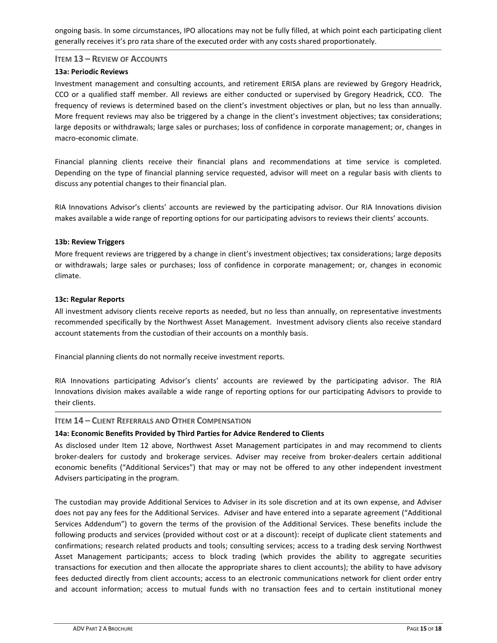ongoing basis. In some circumstances, IPO allocations may not be fully filled, at which point each participating client generally receives it's pro rata share of the executed order with any costs shared proportionately.

## <span id="page-14-0"></span>**ITEM 13 – REVIEW OF ACCOUNTS**

## **13a: Periodic Reviews**

Investment management and consulting accounts, and retirement ERISA plans are reviewed by Gregory Headrick, CCO or a qualified staff member. All reviews are either conducted or supervised by Gregory Headrick, CCO. The frequency of reviews is determined based on the client's investment objectives or plan, but no less than annually. More frequent reviews may also be triggered by a change in the client's investment objectives; tax considerations; large deposits or withdrawals; large sales or purchases; loss of confidence in corporate management; or, changes in macro-economic climate.

Financial planning clients receive their financial plans and recommendations at time service is completed. Depending on the type of financial planning service requested, advisor will meet on a regular basis with clients to discuss any potential changes to their financial plan.

RIA Innovations Advisor's clients' accounts are reviewed by the participating advisor. Our RIA Innovations division makes available a wide range of reporting options for our participating advisors to reviews their clients' accounts.

## **13b: Review Triggers**

More frequent reviews are triggered by a change in client's investment objectives; tax considerations; large deposits or withdrawals; large sales or purchases; loss of confidence in corporate management; or, changes in economic climate.

## **13c: Regular Reports**

All investment advisory clients receive reports as needed, but no less than annually, on representative investments recommended specifically by the Northwest Asset Management. Investment advisory clients also receive standard account statements from the custodian of their accounts on a monthly basis.

Financial planning clients do not normally receive investment reports.

RIA Innovations participating Advisor's clients' accounts are reviewed by the participating advisor. The RIA Innovations division makes available a wide range of reporting options for our participating Advisors to provide to their clients.

# <span id="page-14-1"></span>**ITEM 14 – CLIENT REFERRALS AND OTHER COMPENSATION**

#### **14a: Economic Benefits Provided by Third Parties for Advice Rendered to Clients**

As disclosed under Item 12 above, Northwest Asset Management participates in and may recommend to clients broker-dealers for custody and brokerage services. Adviser may receive from broker-dealers certain additional economic benefits ("Additional Services") that may or may not be offered to any other independent investment Advisers participating in the program.

The custodian may provide Additional Services to Adviser in its sole discretion and at its own expense, and Adviser does not pay any fees for the Additional Services. Adviser and have entered into a separate agreement ("Additional Services Addendum") to govern the terms of the provision of the Additional Services. These benefits include the following products and services (provided without cost or at a discount): receipt of duplicate client statements and confirmations; research related products and tools; consulting services; access to a trading desk serving Northwest Asset Management participants; access to block trading (which provides the ability to aggregate securities transactions for execution and then allocate the appropriate shares to client accounts); the ability to have advisory fees deducted directly from client accounts; access to an electronic communications network for client order entry and account information; access to mutual funds with no transaction fees and to certain institutional money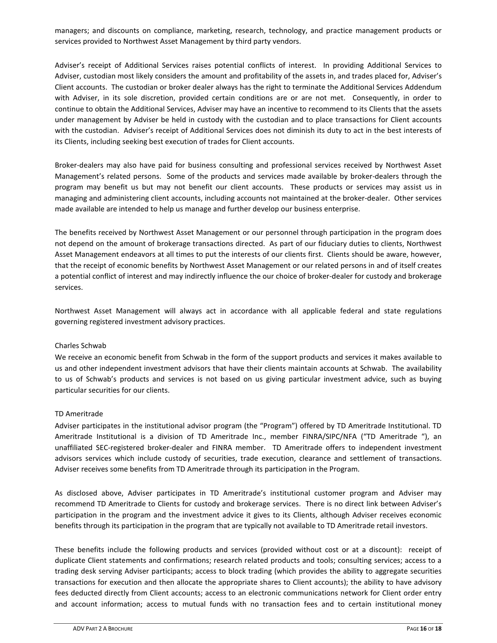managers; and discounts on compliance, marketing, research, technology, and practice management products or services provided to Northwest Asset Management by third party vendors.

Adviser's receipt of Additional Services raises potential conflicts of interest. In providing Additional Services to Adviser, custodian most likely considers the amount and profitability of the assets in, and trades placed for, Adviser's Client accounts. The custodian or broker dealer always has the right to terminate the Additional Services Addendum with Adviser, in its sole discretion, provided certain conditions are or are not met. Consequently, in order to continue to obtain the Additional Services, Adviser may have an incentive to recommend to its Clients that the assets under management by Adviser be held in custody with the custodian and to place transactions for Client accounts with the custodian. Adviser's receipt of Additional Services does not diminish its duty to act in the best interests of its Clients, including seeking best execution of trades for Client accounts.

Broker-dealers may also have paid for business consulting and professional services received by Northwest Asset Management's related persons. Some of the products and services made available by broker-dealers through the program may benefit us but may not benefit our client accounts. These products or services may assist us in managing and administering client accounts, including accounts not maintained at the broker-dealer. Other services made available are intended to help us manage and further develop our business enterprise.

The benefits received by Northwest Asset Management or our personnel through participation in the program does not depend on the amount of brokerage transactions directed. As part of our fiduciary duties to clients, Northwest Asset Management endeavors at all times to put the interests of our clients first. Clients should be aware, however, that the receipt of economic benefits by Northwest Asset Management or our related persons in and of itself creates a potential conflict of interest and may indirectly influence the our choice of broker-dealer for custody and brokerage services.

Northwest Asset Management will always act in accordance with all applicable federal and state regulations governing registered investment advisory practices.

# Charles Schwab

We receive an economic benefit from Schwab in the form of the support products and services it makes available to us and other independent investment advisors that have their clients maintain accounts at Schwab. The availability to us of Schwab's products and services is not based on us giving particular investment advice, such as buying particular securities for our clients.

# TD Ameritrade

Adviser participates in the institutional advisor program (the "Program") offered by TD Ameritrade Institutional. TD Ameritrade Institutional is a division of TD Ameritrade Inc., member FINRA/SIPC/NFA ("TD Ameritrade "), an unaffiliated SEC-registered broker-dealer and FINRA member. TD Ameritrade offers to independent investment advisors services which include custody of securities, trade execution, clearance and settlement of transactions. Adviser receives some benefits from TD Ameritrade through its participation in the Program.

As disclosed above, Adviser participates in TD Ameritrade's institutional customer program and Adviser may recommend TD Ameritrade to Clients for custody and brokerage services. There is no direct link between Adviser's participation in the program and the investment advice it gives to its Clients, although Adviser receives economic benefits through its participation in the program that are typically not available to TD Ameritrade retail investors.

These benefits include the following products and services (provided without cost or at a discount): receipt of duplicate Client statements and confirmations; research related products and tools; consulting services; access to a trading desk serving Adviser participants; access to block trading (which provides the ability to aggregate securities transactions for execution and then allocate the appropriate shares to Client accounts); the ability to have advisory fees deducted directly from Client accounts; access to an electronic communications network for Client order entry and account information; access to mutual funds with no transaction fees and to certain institutional money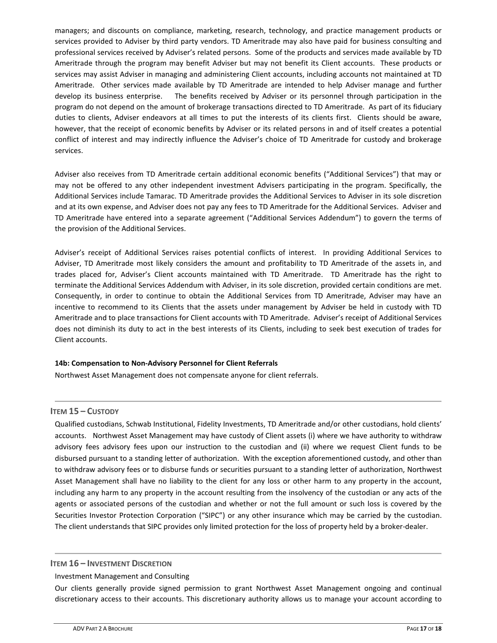managers; and discounts on compliance, marketing, research, technology, and practice management products or services provided to Adviser by third party vendors. TD Ameritrade may also have paid for business consulting and professional services received by Adviser's related persons. Some of the products and services made available by TD Ameritrade through the program may benefit Adviser but may not benefit its Client accounts. These products or services may assist Adviser in managing and administering Client accounts, including accounts not maintained at TD Ameritrade. Other services made available by TD Ameritrade are intended to help Adviser manage and further develop its business enterprise. The benefits received by Adviser or its personnel through participation in the program do not depend on the amount of brokerage transactions directed to TD Ameritrade. As part of its fiduciary duties to clients, Adviser endeavors at all times to put the interests of its clients first. Clients should be aware, however, that the receipt of economic benefits by Adviser or its related persons in and of itself creates a potential conflict of interest and may indirectly influence the Adviser's choice of TD Ameritrade for custody and brokerage services.

Adviser also receives from TD Ameritrade certain additional economic benefits ("Additional Services") that may or may not be offered to any other independent investment Advisers participating in the program. Specifically, the Additional Services include Tamarac. TD Ameritrade provides the Additional Services to Adviser in its sole discretion and at its own expense, and Adviser does not pay any fees to TD Ameritrade for the Additional Services. Adviser and TD Ameritrade have entered into a separate agreement ("Additional Services Addendum") to govern the terms of the provision of the Additional Services.

Adviser's receipt of Additional Services raises potential conflicts of interest. In providing Additional Services to Adviser, TD Ameritrade most likely considers the amount and profitability to TD Ameritrade of the assets in, and trades placed for, Adviser's Client accounts maintained with TD Ameritrade. TD Ameritrade has the right to terminate the Additional Services Addendum with Adviser, in its sole discretion, provided certain conditions are met. Consequently, in order to continue to obtain the Additional Services from TD Ameritrade, Adviser may have an incentive to recommend to its Clients that the assets under management by Adviser be held in custody with TD Ameritrade and to place transactions for Client accounts with TD Ameritrade. Adviser's receipt of Additional Services does not diminish its duty to act in the best interests of its Clients, including to seek best execution of trades for Client accounts.

# **14b: Compensation to Non-Advisory Personnel for Client Referrals**

<span id="page-16-0"></span>Northwest Asset Management does not compensate anyone for client referrals.

# **ITEM 15 – CUSTODY**

Qualified custodians, Schwab Institutional, Fidelity Investments, TD Ameritrade and/or other custodians, hold clients' accounts. Northwest Asset Management may have custody of Client assets (i) where we have authority to withdraw advisory fees advisory fees upon our instruction to the custodian and (ii) where we request Client funds to be disbursed pursuant to a standing letter of authorization. With the exception aforementioned custody, and other than to withdraw advisory fees or to disburse funds or securities pursuant to a standing letter of authorization, Northwest Asset Management shall have no liability to the client for any loss or other harm to any property in the account, including any harm to any property in the account resulting from the insolvency of the custodian or any acts of the agents or associated persons of the custodian and whether or not the full amount or such loss is covered by the Securities Investor Protection Corporation ("SIPC") or any other insurance which may be carried by the custodian. The client understands that SIPC provides only limited protection for the loss of property held by a broker-dealer.

# **ITEM 16 – INVESTMENT DISCRETION**

#### Investment Management and Consulting

<span id="page-16-1"></span>Our clients generally provide signed permission to grant Northwest Asset Management ongoing and continual discretionary access to their accounts. This discretionary authority allows us to manage your account according to